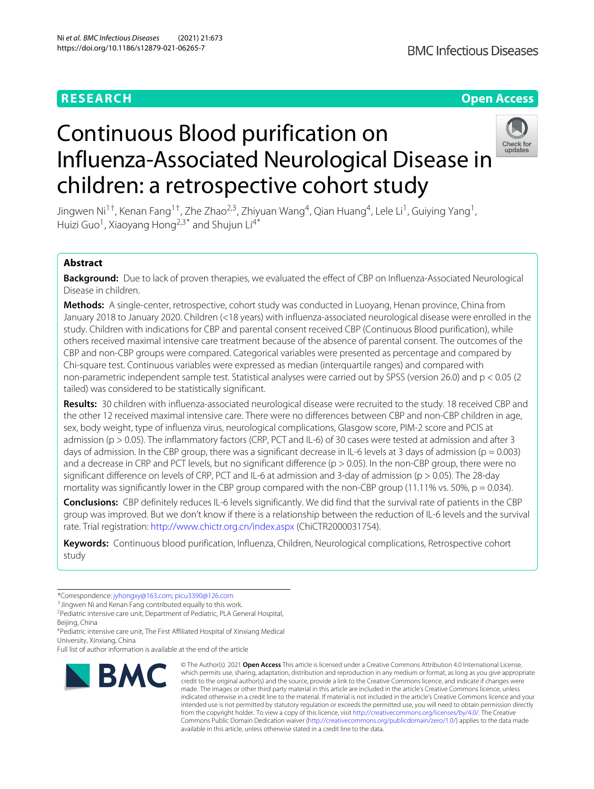# **BMC Infectious Diseases**

# **RESEARCH Open Access**

# Continuous Blood purification on Influenza-Associated Neurological Disease in children: a retrospective cohort study



Jingwen Ni<sup>1†</sup>, Kenan Fang<sup>1†</sup>, Zhe Zhao<sup>2,3</sup>, Zhiyuan Wang<sup>4</sup>, Qian Huang<sup>4</sup>, Lele Li<sup>1</sup>, Guiying Yang<sup>1</sup>, Huizi Guo<sup>1</sup>, Xiaoyang Hong<sup>2,3\*</sup> and Shujun Li<sup>4\*</sup>

## **Abstract**

**Background:** Due to lack of proven therapies, we evaluated the effect of CBP on Influenza-Associated Neurological Disease in children.

**Methods:** A single-center, retrospective, cohort study was conducted in Luoyang, Henan province, China from January 2018 to January 2020. Children (<18 years) with influenza-associated neurological disease were enrolled in the study. Children with indications for CBP and parental consent received CBP (Continuous Blood purification), while others received maximal intensive care treatment because of the absence of parental consent. The outcomes of the CBP and non-CBP groups were compared. Categorical variables were presented as percentage and compared by Chi-square test. Continuous variables were expressed as median (interquartile ranges) and compared with non-parametric independent sample test. Statistical analyses were carried out by SPSS (version 26.0) and p < 0.05 (2 tailed) was considered to be statistically significant.

**Results:** 30 children with influenza-associated neurological disease were recruited to the study. 18 received CBP and the other 12 received maximal intensive care. There were no differences between CBP and non-CBP children in age, sex, body weight, type of influenza virus, neurological complications, Glasgow score, PIM-2 score and PCIS at admission (p > 0.05). The inflammatory factors (CRP, PCT and IL-6) of 30 cases were tested at admission and after 3 days of admission. In the CBP group, there was a significant decrease in IL-6 levels at 3 days of admission ( $p = 0.003$ ) and a decrease in CRP and PCT levels, but no significant difference ( $p > 0.05$ ). In the non-CBP group, there were no significant difference on levels of CRP, PCT and IL-6 at admission and 3-day of admission (p > 0.05). The 28-day mortality was significantly lower in the CBP group compared with the non-CBP group (11.11% vs. 50%,  $p = 0.034$ ).

**Conclusions:** CBP definitely reduces IL-6 levels significantly. We did find that the survival rate of patients in the CBP group was improved. But we don't know if there is a relationship between the reduction of IL-6 levels and the survival rate. Trial registration: <http://www.chictr.org.cn/index.aspx> (ChiCTR2000031754).

**Keywords:** Continuous blood purification, Influenza, Children, Neurological complications, Retrospective cohort study

Full list of author information is available at the end of the article



<sup>©</sup> The Author(s). 2021 **Open Access** This article is licensed under a Creative Commons Attribution 4.0 International License, which permits use, sharing, adaptation, distribution and reproduction in any medium or format, as long as you give appropriate credit to the original author(s) and the source, provide a link to the Creative Commons licence, and indicate if changes were made. The images or other third party material in this article are included in the article's Creative Commons licence, unless indicated otherwise in a credit line to the material. If material is not included in the article's Creative Commons licence and your intended use is not permitted by statutory regulation or exceeds the permitted use, you will need to obtain permission directly from the copyright holder. To view a copy of this licence, visit [http://creativecommons.org/licenses/by/4.0/.](http://creativecommons.org/licenses/by/4.0/) The Creative Commons Public Domain Dedication waiver [\(http://creativecommons.org/publicdomain/zero/1.0/\)](http://creativecommons.org/publicdomain/zero/1.0/) applies to the data made available in this article, unless otherwise stated in a credit line to the data.

<sup>\*</sup>Correspondence: [jyhongxy@163.com;](mailto: jyhongxy@163.com) [picu3390@126.com](mailto: picu3390@126.com)

<sup>†</sup>Jingwen Ni and Kenan Fang contributed equally to this work.

<sup>&</sup>lt;sup>2</sup>Pediatric intensive care unit, Department of Pediatric, PLA General Hospital, Beijing, China

<sup>4</sup>Pediatric intensive care unit, The First Affiliated Hospital of Xinxiang Medical University, Xinxiang, China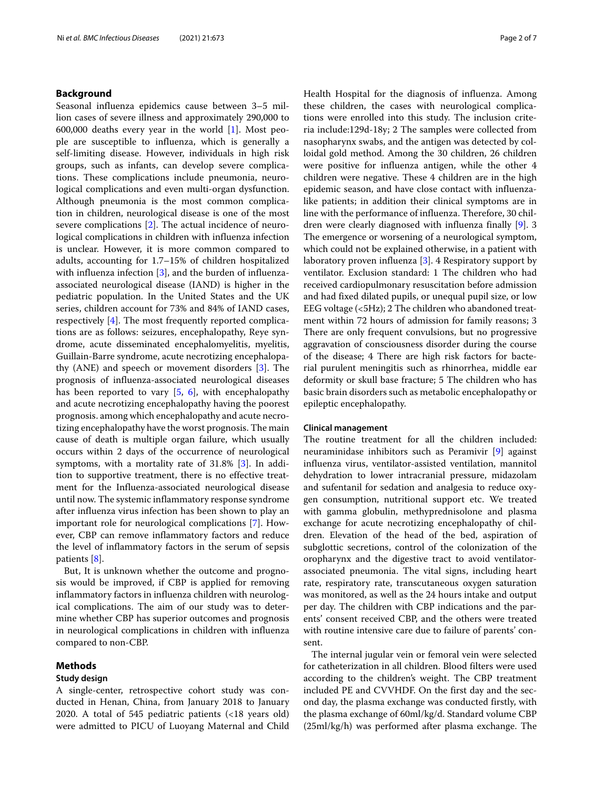#### **Background**

Seasonal influenza epidemics cause between 3–5 million cases of severe illness and approximately 290,000 to 600,000 deaths every year in the world [\[1\]](#page-5-0). Most people are susceptible to influenza, which is generally a self-limiting disease. However, individuals in high risk groups, such as infants, can develop severe complications. These complications include pneumonia, neurological complications and even multi-organ dysfunction. Although pneumonia is the most common complication in children, neurological disease is one of the most severe complications [\[2\]](#page-5-1). The actual incidence of neurological complications in children with influenza infection is unclear. However, it is more common compared to adults, accounting for 1.7–15% of children hospitalized with influenza infection [\[3\]](#page-5-2), and the burden of influenzaassociated neurological disease (IAND) is higher in the pediatric population. In the United States and the UK series, children account for 73% and 84% of IAND cases, respectively [\[4\]](#page-5-3). The most frequently reported complications are as follows: seizures, encephalopathy, Reye syndrome, acute disseminated encephalomyelitis, myelitis, Guillain-Barre syndrome, acute necrotizing encephalopathy (ANE) and speech or movement disorders [\[3\]](#page-5-2). The prognosis of influenza-associated neurological diseases has been reported to vary [\[5,](#page-5-4) [6\]](#page-5-5), with encephalopathy and acute necrotizing encephalopathy having the poorest prognosis. among which encephalopathy and acute necrotizing encephalopathy have the worst prognosis. The main cause of death is multiple organ failure, which usually occurs within 2 days of the occurrence of neurological symptoms, with a mortality rate of 31.8% [\[3\]](#page-5-2). In addition to supportive treatment, there is no effective treatment for the Influenza-associated neurological disease until now. The systemic inflammatory response syndrome after influenza virus infection has been shown to play an important role for neurological complications [\[7\]](#page-5-6). However, CBP can remove inflammatory factors and reduce the level of inflammatory factors in the serum of sepsis patients [\[8\]](#page-5-7).

But, It is unknown whether the outcome and prognosis would be improved, if CBP is applied for removing inflammatory factors in influenza children with neurological complications. The aim of our study was to determine whether CBP has superior outcomes and prognosis in neurological complications in children with influenza compared to non-CBP.

#### **Methods**

#### **Study design**

A single-center, retrospective cohort study was conducted in Henan, China, from January 2018 to January 2020. A total of 545 pediatric patients (<18 years old) were admitted to PICU of Luoyang Maternal and Child Health Hospital for the diagnosis of influenza. Among these children, the cases with neurological complications were enrolled into this study. The inclusion criteria include:129d-18y; 2 The samples were collected from nasopharynx swabs, and the antigen was detected by colloidal gold method. Among the 30 children, 26 children were positive for influenza antigen, while the other 4 children were negative. These 4 children are in the high epidemic season, and have close contact with influenzalike patients; in addition their clinical symptoms are in line with the performance of influenza. Therefore, 30 children were clearly diagnosed with influenza finally [\[9\]](#page-5-8). 3 The emergence or worsening of a neurological symptom, which could not be explained otherwise, in a patient with laboratory proven influenza [\[3\]](#page-5-2). 4 Respiratory support by ventilator. Exclusion standard: 1 The children who had received cardiopulmonary resuscitation before admission and had fixed dilated pupils, or unequal pupil size, or low EEG voltage (<5Hz); 2 The children who abandoned treatment within 72 hours of admission for family reasons; 3 There are only frequent convulsions, but no progressive aggravation of consciousness disorder during the course of the disease; 4 There are high risk factors for bacterial purulent meningitis such as rhinorrhea, middle ear deformity or skull base fracture; 5 The children who has basic brain disorders such as metabolic encephalopathy or epileptic encephalopathy.

#### **Clinical management**

The routine treatment for all the children included: neuraminidase inhibitors such as Peramivir [\[9\]](#page-5-8) against influenza virus, ventilator-assisted ventilation, mannitol dehydration to lower intracranial pressure, midazolam and sufentanil for sedation and analgesia to reduce oxygen consumption, nutritional support etc. We treated with gamma globulin, methyprednisolone and plasma exchange for acute necrotizing encephalopathy of children. Elevation of the head of the bed, aspiration of subglottic secretions, control of the colonization of the oropharynx and the digestive tract to avoid ventilatorassociated pneumonia. The vital signs, including heart rate, respiratory rate, transcutaneous oxygen saturation was monitored, as well as the 24 hours intake and output per day. The children with CBP indications and the parents' consent received CBP, and the others were treated with routine intensive care due to failure of parents' consent.

The internal jugular vein or femoral vein were selected for catheterization in all children. Blood filters were used according to the children's weight. The CBP treatment included PE and CVVHDF. On the first day and the second day, the plasma exchange was conducted firstly, with the plasma exchange of 60ml/kg/d. Standard volume CBP (25ml/kg/h) was performed after plasma exchange. The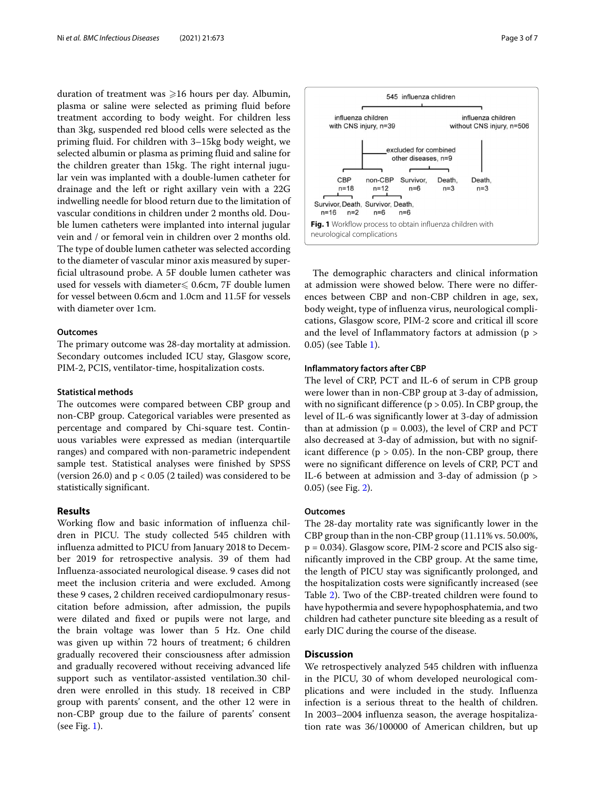duration of treatment was  $\geqslant$ 16 hours per day. Albumin, plasma or saline were selected as priming fluid before treatment according to body weight. For children less than 3kg, suspended red blood cells were selected as the priming fluid. For children with 3–15kg body weight, we selected albumin or plasma as priming fluid and saline for the children greater than 15kg. The right internal jugular vein was implanted with a double-lumen catheter for drainage and the left or right axillary vein with a 22G indwelling needle for blood return due to the limitation of vascular conditions in children under 2 months old. Double lumen catheters were implanted into internal jugular vein and / or femoral vein in children over 2 months old. The type of double lumen catheter was selected according to the diameter of vascular minor axis measured by superficial ultrasound probe. A 5F double lumen catheter was used for vessels with diameter $\leq 0.6$ cm, 7F double lumen for vessel between 0.6cm and 1.0cm and 11.5F for vessels with diameter over 1cm.

#### **Outcomes**

The primary outcome was 28-day mortality at admission. Secondary outcomes included ICU stay, Glasgow score, PIM-2, PCIS, ventilator-time, hospitalization costs.

#### **Statistical methods**

The outcomes were compared between CBP group and non-CBP group. Categorical variables were presented as percentage and compared by Chi-square test. Continuous variables were expressed as median (interquartile ranges) and compared with non-parametric independent sample test. Statistical analyses were finished by SPSS (version 26.0) and  $p < 0.05$  (2 tailed) was considered to be statistically significant.

#### **Results**

Working flow and basic information of influenza children in PICU. The study collected 545 children with influenza admitted to PICU from January 2018 to December 2019 for retrospective analysis. 39 of them had Influenza-associated neurological disease. 9 cases did not meet the inclusion criteria and were excluded. Among these 9 cases, 2 children received cardiopulmonary resuscitation before admission, after admission, the pupils were dilated and fixed or pupils were not large, and the brain voltage was lower than 5 Hz. One child was given up within 72 hours of treatment; 6 children gradually recovered their consciousness after admission and gradually recovered without receiving advanced life support such as ventilator-assisted ventilation.30 children were enrolled in this study. 18 received in CBP group with parents' consent, and the other 12 were in non-CBP group due to the failure of parents' consent (see Fig. [1\)](#page-2-0).



<span id="page-2-0"></span>The demographic characters and clinical information at admission were showed below. There were no differences between CBP and non-CBP children in age, sex, body weight, type of influenza virus, neurological complications, Glasgow score, PIM-2 score and critical ill score and the level of Inflammatory factors at admission (p > 0.05) (see Table [1\)](#page-3-0).

#### **Inflammatory factors after CBP**

The level of CRP, PCT and IL-6 of serum in CPB group were lower than in non-CBP group at 3-day of admission, with no significant difference ( $p > 0.05$ ). In CBP group, the level of IL-6 was significantly lower at 3-day of admission than at admission ( $p = 0.003$ ), the level of CRP and PCT also decreased at 3-day of admission, but with no significant difference ( $p > 0.05$ ). In the non-CBP group, there were no significant difference on levels of CRP, PCT and IL-6 between at admission and 3-day of admission (p > 0.05) (see Fig. [2\)](#page-3-1).

#### **Outcomes**

The 28-day mortality rate was significantly lower in the CBP group than in the non-CBP group (11.11% vs. 50.00%, p = 0.034). Glasgow score, PIM-2 score and PCIS also significantly improved in the CBP group. At the same time, the length of PICU stay was significantly prolonged, and the hospitalization costs were significantly increased (see Table [2\)](#page-4-0). Two of the CBP-treated children were found to have hypothermia and severe hypophosphatemia, and two children had catheter puncture site bleeding as a result of early DIC during the course of the disease.

### **Discussion**

We retrospectively analyzed 545 children with influenza in the PICU, 30 of whom developed neurological complications and were included in the study. Influenza infection is a serious threat to the health of children. In 2003–2004 influenza season, the average hospitalization rate was 36/100000 of American children, but up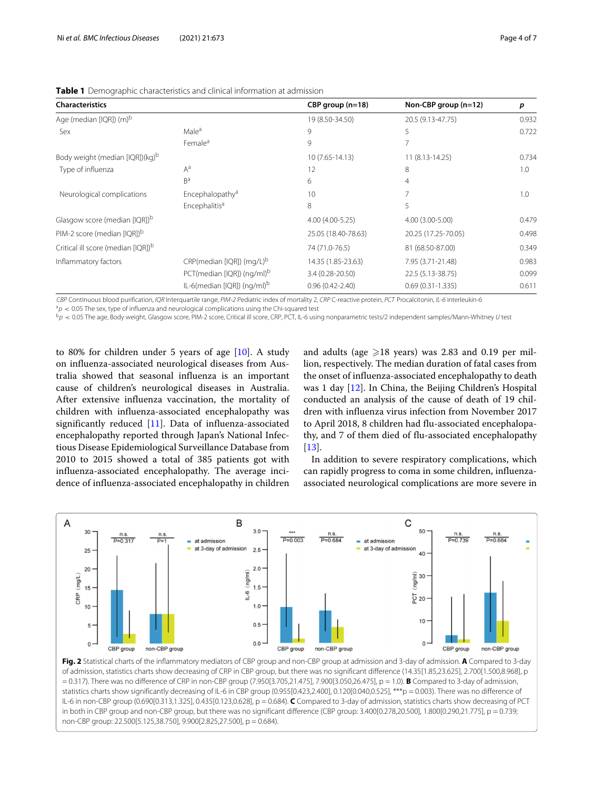| <b>Characteristics</b>                         |                                          | CBP group (n=18)    | Non-CBP group $(n=12)$ | p     |
|------------------------------------------------|------------------------------------------|---------------------|------------------------|-------|
| Age (median [IQR]) (m) <sup>b</sup>            |                                          | 19 (8.50-34.50)     | 20.5 (9.13-47.75)      | 0.932 |
| Sex                                            | Male <sup>a</sup>                        | 9                   | 5                      | 0.722 |
|                                                | Female <sup>a</sup>                      | 9                   |                        |       |
| Body weight (median [IQR])(kg) <sup>b</sup>    |                                          | 10 (7.65-14.13)     | 11 (8.13-14.25)        | 0.734 |
| Type of influenza                              | $A^a$                                    | 12                  | 8                      | 1.0   |
|                                                | B <sup>a</sup>                           | 6                   | 4                      |       |
| Neurological complications                     | Encephalopathy <sup>a</sup>              | 10                  |                        | 1.0   |
|                                                | Encephalitis <sup>a</sup>                | 8                   | 5                      |       |
| Glasgow score (median [IQR]) <sup>b</sup>      |                                          | 4.00 (4.00-5.25)    | 4.00 (3.00-5.00)       | 0.479 |
| PIM-2 score (median [IQR]) <sup>b</sup>        |                                          | 25.05 (18.40-78.63) | 20.25 (17.25-70.05)    | 0.498 |
| Critical ill score (median [IQR]) <sup>b</sup> |                                          | 74 (71.0-76.5)      | 81 (68.50-87.00)       | 0.349 |
| Inflammatory factors                           | $CRP$ (median [IQR]) (mg/L) <sup>b</sup> | 14.35 (1.85-23.63)  | 7.95 (3.71-21.48)      | 0.983 |
|                                                | PCT(median [IQR]) (ng/ml) <sup>b</sup>   | 3.4 (0.28-20.50)    | 22.5 (5.13-38.75)      | 0.099 |
|                                                | IL-6(median [IQR]) (ng/ml) <sup>b</sup>  | $0.96(0.42 - 2.40)$ | $0.69(0.31 - 1.335)$   | 0.611 |

<span id="page-3-0"></span>**Table 1** Demographic characteristics and clinical information at admission

CBP Continuous blood purification, IQR Interquartile range, PIM-2 Pediatric index of mortality 2, CRP C-reactive protein, PCT Procalcitonin, IL-6 interleukin-6

 $a_p \approx 0.05$  The sex, type of influenza and neurological complications using the Chi-squared test

 $b_p < 0.05$  The age, Body weight, Glasgow score, PIM-2 score, Critical ill score, CRP, PCT, IL-6 using nonparametric tests/2 independent samples/Mann-Whitney U test

to 80% for children under 5 years of age [\[10\]](#page-5-9). A study on influenza-associated neurological diseases from Australia showed that seasonal influenza is an important cause of children's neurological diseases in Australia. After extensive influenza vaccination, the mortality of children with influenza-associated encephalopathy was significantly reduced [\[11\]](#page-5-10). Data of influenza-associated encephalopathy reported through Japan's National Infectious Disease Epidemiological Surveillance Database from 2010 to 2015 showed a total of 385 patients got with influenza-associated encephalopathy. The average incidence of influenza-associated encephalopathy in children

and adults (age  $\geqslant$ 18 years) was 2.83 and 0.19 per million, respectively. The median duration of fatal cases from the onset of influenza-associated encephalopathy to death was 1 day [\[12\]](#page-5-11). In China, the Beijing Children's Hospital conducted an analysis of the cause of death of 19 children with influenza virus infection from November 2017 to April 2018, 8 children had flu-associated encephalopathy, and 7 of them died of flu-associated encephalopathy [\[13\]](#page-5-12).

In addition to severe respiratory complications, which can rapidly progress to coma in some children, influenzaassociated neurological complications are more severe in



<span id="page-3-1"></span>**Fig. 2** Statistical charts of the inflammatory mediators of CBP group and non-CBP group at admission and 3-day of admission. **A** Compared to 3-day of admission, statistics charts show decreasing of CRP in CBP group, but there was no significant difference (14.35[1.85,23.625], 2.700[1.500,8.968], p = 0.317). There was no difference of CRP in non-CBP group (7.950[3.705,21.475], 7.900[3.050,26.475], p = 1.0). **B** Compared to 3-day of admission, statistics charts show significantly decreasing of IL-6 in CBP group (0.955[0.423,2.400], 0.120[0.040,0.525], \*\*\*p = 0.003). There was no difference of IL-6 in non-CBP group (0.690[0.313,1.325], 0.435[0.123,0.628], p = 0.684). **C** Compared to 3-day of admission, statistics charts show decreasing of PCT in both in CBP group and non-CBP group, but there was no significant difference (CBP group: 3.400[0.278,20.500], 1.800[0.290,21.775], p = 0.739; non-CBP group: 22.500[5.125,38.750], 9.900[2.825,27.500], p = 0.684).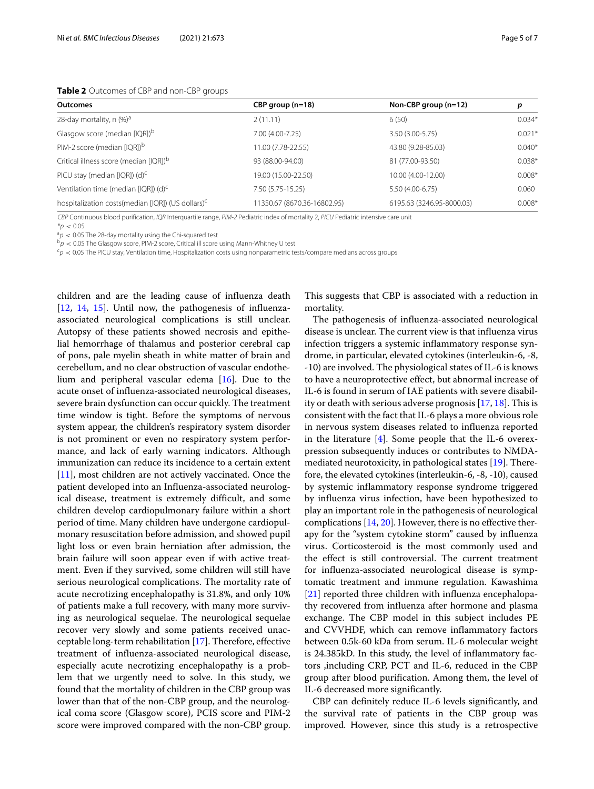#### <span id="page-4-0"></span>**Table 2** Outcomes of CBP and non-CBP groups

| <b>Outcomes</b>                                                | $CBP$ group (n=18)          | Non-CBP group $(n=12)$    | p        |
|----------------------------------------------------------------|-----------------------------|---------------------------|----------|
| 28-day mortality, n (%) <sup>a</sup>                           | 2(11.11)                    | 6(50)                     | $0.034*$ |
| Glasgow score (median [IQR]) <sup>b</sup>                      | 7.00 (4.00-7.25)            | 3.50 (3.00-5.75)          | $0.021*$ |
| PIM-2 score (median [IQR]) <sup>b</sup>                        | 11.00 (7.78-22.55)          | 43.80 (9.28-85.03)        | $0.040*$ |
| Critical illness score (median [IQR]) <sup>b</sup>             | 93 (88.00-94.00)            | 81 (77.00-93.50)          | $0.038*$ |
| PICU stay (median [IQR]) $(d)^{c}$                             | 19.00 (15.00-22.50)         | 10.00 (4.00-12.00)        | $0.008*$ |
| Ventilation time (median [IQR]) (d) <sup>c</sup>               | 7.50 (5.75-15.25)           | 5.50 (4.00-6.75)          | 0.060    |
| hospitalization costs (median [IQR]) (US dollars) <sup>c</sup> | 11350.67 (8670.36-16802.95) | 6195.63 (3246.95-8000.03) | $0.008*$ |

CBP Continuous blood purification, IQR Interquartile range, PIM-2 Pediatric index of mortality 2, PICU Pediatric intensive care unit

 $*_{D}$  < 0.05

 $a_p$  < 0.05 The 28-day mortality using the Chi-squared test

 $b_p$  < 0.05 The Glasgow score, PIM-2 score, Critical ill score using Mann-Whitney U test

 $c_p < 0.05$  The PICU stay, Ventilation time, Hospitalization costs using nonparametric tests/compare medians across groups

children and are the leading cause of influenza death [\[12,](#page-5-11) [14,](#page-5-13) [15\]](#page-5-14). Until now, the pathogenesis of influenzaassociated neurological complications is still unclear. Autopsy of these patients showed necrosis and epithelial hemorrhage of thalamus and posterior cerebral cap of pons, pale myelin sheath in white matter of brain and cerebellum, and no clear obstruction of vascular endothelium and peripheral vascular edema [\[16\]](#page-5-15). Due to the acute onset of influenza-associated neurological diseases, severe brain dysfunction can occur quickly. The treatment time window is tight. Before the symptoms of nervous system appear, the children's respiratory system disorder is not prominent or even no respiratory system performance, and lack of early warning indicators. Although immunization can reduce its incidence to a certain extent [\[11\]](#page-5-10), most children are not actively vaccinated. Once the patient developed into an Influenza-associated neurological disease, treatment is extremely difficult, and some children develop cardiopulmonary failure within a short period of time. Many children have undergone cardiopulmonary resuscitation before admission, and showed pupil light loss or even brain herniation after admission, the brain failure will soon appear even if with active treatment. Even if they survived, some children will still have serious neurological complications. The mortality rate of acute necrotizing encephalopathy is 31.8%, and only 10% of patients make a full recovery, with many more surviving as neurological sequelae. The neurological sequelae recover very slowly and some patients received unacceptable long-term rehabilitation [\[17\]](#page-5-16). Therefore, effective treatment of influenza-associated neurological disease, especially acute necrotizing encephalopathy is a problem that we urgently need to solve. In this study, we found that the mortality of children in the CBP group was lower than that of the non-CBP group, and the neurological coma score (Glasgow score), PCIS score and PIM-2 score were improved compared with the non-CBP group.

This suggests that CBP is associated with a reduction in mortality.

The pathogenesis of influenza-associated neurological disease is unclear. The current view is that influenza virus infection triggers a systemic inflammatory response syndrome, in particular, elevated cytokines (interleukin-6, -8, -10) are involved. The physiological states of IL-6 is knows to have a neuroprotective effect, but abnormal increase of IL-6 is found in serum of IAE patients with severe disability or death with serious adverse prognosis [\[17,](#page-5-16) [18\]](#page-5-17). This is consistent with the fact that IL-6 plays a more obvious role in nervous system diseases related to influenza reported in the literature  $[4]$ . Some people that the IL-6 overexpression subsequently induces or contributes to NMDAmediated neurotoxicity, in pathological states [\[19\]](#page-5-18). Therefore, the elevated cytokines (interleukin-6, -8, -10), caused by systemic inflammatory response syndrome triggered by influenza virus infection, have been hypothesized to play an important role in the pathogenesis of neurological complications [\[14,](#page-5-13) [20\]](#page-6-0). However, there is no effective therapy for the "system cytokine storm" caused by influenza virus. Corticosteroid is the most commonly used and the effect is still controversial. The current treatment for influenza-associated neurological disease is symptomatic treatment and immune regulation. Kawashima [\[21\]](#page-6-1) reported three children with influenza encephalopathy recovered from influenza after hormone and plasma exchange. The CBP model in this subject includes PE and CVVHDF, which can remove inflammatory factors between 0.5k-60 kDa from serum. IL-6 molecular weight is 24.385kD. In this study, the level of inflammatory factors ,including CRP, PCT and IL-6, reduced in the CBP group after blood purification. Among them, the level of IL-6 decreased more significantly.

CBP can definitely reduce IL-6 levels significantly, and the survival rate of patients in the CBP group was improved. However, since this study is a retrospective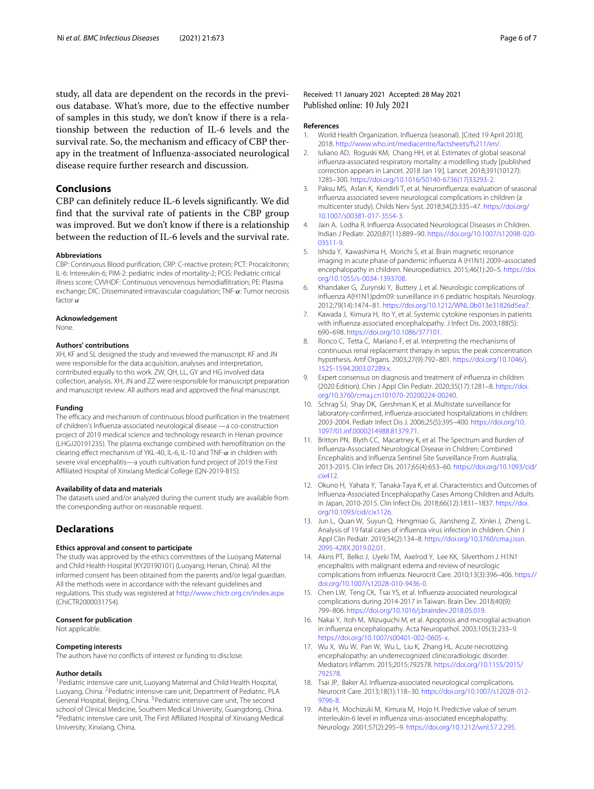study, all data are dependent on the records in the previous database. What's more, due to the effective number of samples in this study, we don't know if there is a relationship between the reduction of IL-6 levels and the survival rate. So, the mechanism and efficacy of CBP therapy in the treatment of Influenza-associated neurological disease require further research and discussion.

#### **Conclusions**

CBP can definitely reduce IL-6 levels significantly. We did find that the survival rate of patients in the CBP group was improved. But we don't know if there is a relationship between the reduction of IL-6 levels and the survival rate.

#### **Abbreviations**

CBP: Continuous Blood purification; CRP: C-reactive protein; PCT: Procalcitonin; IL-6: Intereukin-6; PIM-2: pediatric index of mortality-2; PCIS: Pediatric critical illness score; CVVHDF: Continuous venovenous hemodiafiltration; PE: Plasma exchange; DIC: Disseminated intravascular coagulation; TNF-α: Tumor necrosis factor  $\alpha$ 

#### **Acknowledgement**

None.

#### **Authors' contributions**

XH, KF and SL designed the study and reviewed the manuscript. KF and JN were responsible for the data acquisition, analyses and interpretation, contributed equally to this work. ZW, QH, LL, GY and HG involved data collection, analysis. XH, JN and ZZ were responsible for manuscript preparation and manuscript review. All authors read and approved the final manuscript.

#### **Funding**

The efficacy and mechanism of continuous blood purification in the treatment of children's Influenza-associated neurological disease —a co-construction project of 2019 medical science and technology research in Henan province (LHGJ20191235). The plasma exchange combined with hemofiltration on the clearing effect mechanism of YKL-40, IL-6, IL-10 and TNF-α in children with severe viral encephalitis—a youth cultivation fund project of 2019 the First Affiliated Hospital of Xinxiang Medical College (QN-2019-B15).

#### **Availability of data and materials**

The datasets used and/or analyzed during the current study are available from the corresponding author on reasonable request.

#### **Declarations**

#### **Ethics approval and consent to participate**

The study was approved by the ethics committees of the Luoyang Maternal and Child Health Hospital (KY20190101) (Luoyang; Henan, China). All the informed consent has been obtained from the parents and/or legal guardian. All the methods were in accordance with the relevant guidelines and regulations. This study was registered at <http://www.chictr.org.cn/index.aspx> (ChiCTR2000031754).

#### **Consent for publication**

Not applicable.

#### **Competing interests**

The authors have no conflicts of interest or funding to disclose.

#### **Author details**

<sup>1</sup> Pediatric intensive care unit, Luoyang Maternal and Child Health Hospital, Luoyang, China. 2Pediatric intensive care unit, Department of Pediatric, PLA General Hospital, Beijing, China. 3Pediatric intensive care unit, The second school of Clinical Medicine, Southern Medical University, Guangdong, China. 4Pediatric intensive care unit, The First Affiliated Hospital of Xinxiang Medical University, Xinxiang, China.

Received: 11 January 2021 Accepted: 28 May 2021 Published online: 10 July 2021

#### **References**

- <span id="page-5-0"></span>1. World Health Organization. Influenza (seasonal). [Cited 19 April 2018]. 2018. [http://www.who.int/mediacentre/factsheets/fs211/en/.](http://www.who.int/mediacentre/factsheets/fs211/en/)
- <span id="page-5-1"></span>2. Iuliano AD, Roguski KM, Chang HH, et al. Estimates of global seasonal influenza-associated respiratory mortality: a modelling study [published correction appears in Lancet. 2018 Jan 19:]. Lancet. 2018;391(10127): 1285–300. [https://doi.org/10.1016/S0140-6736\(17\)33293-2.](https://doi.org/10.1016/S0140-6736(17)33293-2)
- <span id="page-5-2"></span>3. Paksu MS, Aslan K, Kendirli T, et al. Neuroinfluenza: evaluation of seasonal influenza associated severe neurological complications in children (a multicenter study). Childs Nerv Syst. 2018;34(2):335–47. [https://doi.org/](https://doi.org/10.1007/s00381-017-3554-3) [10.1007/s00381-017-3554-3.](https://doi.org/10.1007/s00381-017-3554-3)
- <span id="page-5-3"></span>4. Jain A, Lodha R. Influenza Associated Neurological Diseases in Children. Indian J Pediatr. 2020;87(11):889–90. [https://doi.org/10.1007/s12098-020-](https://doi.org/10.1007/s12098-020-03511-9) [03511-9.](https://doi.org/10.1007/s12098-020-03511-9)
- <span id="page-5-4"></span>5. Ishida Y, Kawashima H, Morichi S, et al. Brain magnetic resonance imaging in acute phase of pandemic influenza A (H1N1) 2009–associated encephalopathy in children. Neuropediatrics. 2015;46(1):20–5. [https://doi.](https://doi.org/10.1055/s-0034-1393708) [org/10.1055/s-0034-1393708.](https://doi.org/10.1055/s-0034-1393708)
- <span id="page-5-5"></span>6. Khandaker G, Zurynski Y, Buttery J, et al. Neurologic complications of influenza A(H1N1)pdm09: surveillance in 6 pediatric hospitals. Neurology. 2012;79(14):1474–81. [https://doi.org/10.1212/WNL.0b013e31826d5ea7.](https://doi.org/10.1212/WNL.0b013e31826d5ea7)
- <span id="page-5-6"></span>7. Kawada J, Kimura H, Ito Y, et al. Systemic cytokine responses in patients with influenza-associated encephalopathy. J Infect Dis. 2003;188(5): 690–698. [https://doi.org/10.1086/377101.](https://doi.org/10.1086/377101)
- <span id="page-5-7"></span>Ronco C, Tetta C, Mariano F, et al. Interpreting the mechanisms of continuous renal replacement therapy in sepsis: the peak concentration hypothesis. Artif Organs. 2003;27(9):792–801. [https://doi.org/10.1046/j.](https://doi.org/10.1046/j.1525-1594.2003.07289.x) [1525-1594.2003.07289.x.](https://doi.org/10.1046/j.1525-1594.2003.07289.x)
- <span id="page-5-8"></span>9. Expert consensus on diagnosis and treatment of influenza in children (2020 Edition). Chin J Appl Clin Pediatr. 2020;35(17):1281–8. [https://doi.](https://doi.org/10.3760/cma.j.cn101070-20200224-00240) [org/10.3760/cma.j.cn101070-20200224-00240.](https://doi.org/10.3760/cma.j.cn101070-20200224-00240)
- <span id="page-5-9"></span>10. Schrag SJ, Shay DK, Gershman K, et al. Multistate surveillance for laboratory-confirmed, influenza-associated hospitalizations in children: 2003-2004. Pediatr Infect Dis J. 2006;25(5):395–400. [https://doi.org/10.](https://doi.org/10.1097/01.inf.0000214988.81379.71) [1097/01.inf.0000214988.81379.71.](https://doi.org/10.1097/01.inf.0000214988.81379.71)
- <span id="page-5-10"></span>11. Britton PN, Blyth CC, Macartney K, et al. The Spectrum and Burden of Influenza-Associated Neurological Disease in Children: Combined Encephalitis and Influenza Sentinel Site Surveillance From Australia, 2013-2015. Clin Infect Dis. 2017;65(4):653–60. [https://doi.org/10.1093/cid/](https://doi.org/10.1093/cid/cix412) [cix412.](https://doi.org/10.1093/cid/cix412)
- <span id="page-5-11"></span>12. Okuno H, Yahata Y, Tanaka-Taya K, et al. Characteristics and Outcomes of Influenza-Associated Encephalopathy Cases Among Children and Adults in Japan, 2010-2015. Clin Infect Dis. 2018;66(12):1831–1837. [https://doi.](https://doi.org/10.1093/cid/cix1126) [org/10.1093/cid/cix1126.](https://doi.org/10.1093/cid/cix1126)
- <span id="page-5-12"></span>13. Jun L, Quan W, Suyun Q, Hengmiao G, Jiansheng Z, Xinlei J, Zheng L. Analysis of 19 fatal cases of influenza virus infection in children. Chin J Appl Clin Pediatr. 2019;34(2):134–8. [https://doi.org/10.3760/cma.j.issn.](https://doi.org/10.3760/cma.j.issn.2095-428X.2019.02.01) [2095-428X.2019.02.01.](https://doi.org/10.3760/cma.j.issn.2095-428X.2019.02.01)
- <span id="page-5-13"></span>14. Akins PT, Belko J, Uyeki TM, Axelrod Y, Lee KK, Silverthorn J. H1N1 encephalitis with malignant edema and review of neurologic complications from influenza. Neurocrit Care. 2010;13(3):396–406. [https://](https://doi.org/10.1007/s12028-010-9436-0) [doi.org/10.1007/s12028-010-9436-0.](https://doi.org/10.1007/s12028-010-9436-0)
- <span id="page-5-14"></span>15. Chen LW, Teng CK, Tsai YS, et al. Influenza-associated neurological complications during 2014-2017 in Taiwan. Brain Dev. 2018;40(9): 799–806. [https://doi.org/10.1016/j.braindev.2018.05.019.](https://doi.org/10.1016/j.braindev.2018.05.019)
- <span id="page-5-15"></span>16. Nakai Y, Itoh M, Mizuguchi M, et al. Apoptosis and microglial activation in influenza encephalopathy. Acta Neuropathol. 2003;105(3):233–9. [https://doi.org/10.1007/s00401-002-0605-x.](https://doi.org/10.1007/s00401-002-0605-x)
- <span id="page-5-16"></span>17. Wu X, Wu W, Pan W, Wu L, Liu K, Zhang HL. Acute necrotizing encephalopathy: an underrecognized clinicoradiologic disorder. Mediators Inflamm. 2015;2015:792578. [https://doi.org/10.1155/2015/](https://doi.org/10.1155/2015/792578) [792578.](https://doi.org/10.1155/2015/792578)
- <span id="page-5-17"></span>18. Tsai JP, Baker AJ. Influenza-associated neurological complications. Neurocrit Care. 2013;18(1):118–30. [https://doi.org/10.1007/s12028-012-](https://doi.org/10.1007/s12028-012-9796-8) [9796-8.](https://doi.org/10.1007/s12028-012-9796-8)
- <span id="page-5-18"></span>19. Aiba H, Mochizuki M, Kimura M, Hojo H. Predictive value of serum interleukin-6 level in influenza virus-associated encephalopathy. Neurology. 2001;57(2):295–9. [https://doi.org/10.1212/wnl.57.2.295.](https://doi.org/10.1212/wnl.57.2.295)